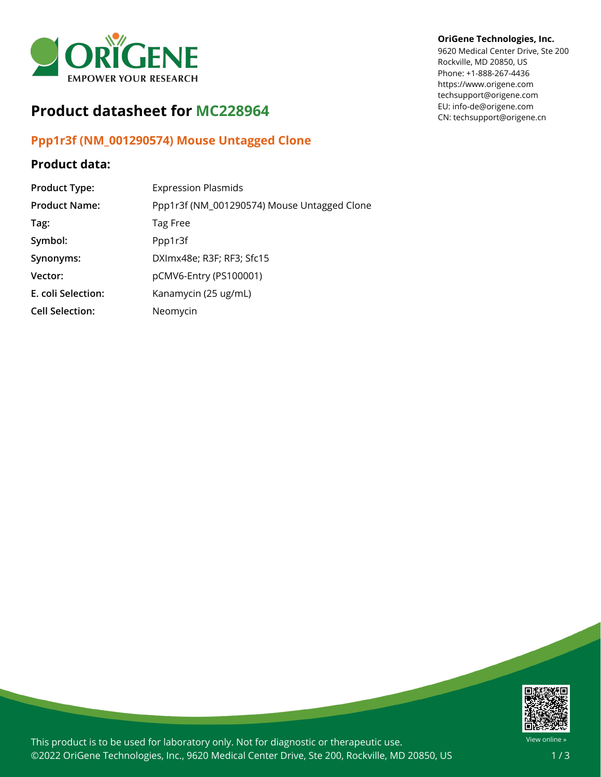

## **Product datasheet for MC228964**

## **Ppp1r3f (NM\_001290574) Mouse Untagged Clone**

## **Product data:**

| <b>Product Type:</b>   | <b>Expression Plasmids</b>                  |
|------------------------|---------------------------------------------|
| <b>Product Name:</b>   | Ppp1r3f (NM_001290574) Mouse Untagged Clone |
| Tag:                   | Tag Free                                    |
| Symbol:                | Ppp1r3f                                     |
| Synonyms:              | DXImx48e; R3F; RF3; Sfc15                   |
| Vector:                | pCMV6-Entry (PS100001)                      |
| E. coli Selection:     | Kanamycin (25 ug/mL)                        |
| <b>Cell Selection:</b> | Neomycin                                    |

## **OriGene Technologies, Inc.**

9620 Medical Center Drive, Ste 200 Rockville, MD 20850, US Phone: +1-888-267-4436 https://www.origene.com techsupport@origene.com EU: info-de@origene.com CN: techsupport@origene.cn



This product is to be used for laboratory only. Not for diagnostic or therapeutic use. ©2022 OriGene Technologies, Inc., 9620 Medical Center Drive, Ste 200, Rockville, MD 20850, US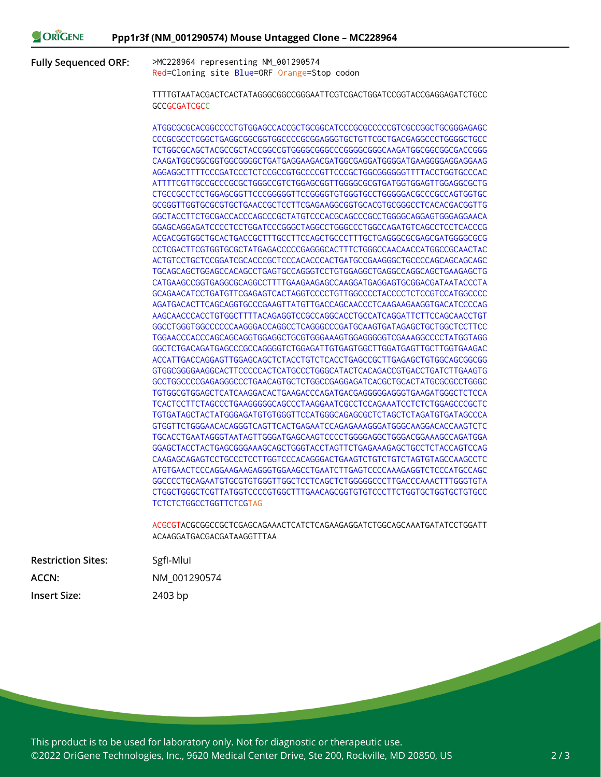**Fully Sequenced ORF:** >MC228964 representing NM\_001290574 Red=Cloning site Blue=ORF Orange=Stop codon

> TTTTGTAATACGACTCACTATAGGGCGGCCGGGAATTCGTCGACTGGATCCGGTACCGAGGAGATCTGCC **GCCGCGATCGCC**

> ATGGCGCGCACGGCCCCTGTGGAGCCACCGCTGCGGCATCCCGCGCCCCCGTCGCCGGCTGCGGGAGAGC CCCGCGCCTCGGCTGAGGCGGCGGTGGCCCCGCGGAGGGTGCTGTTCGCTGACGAGGCCCTGGGGCTGCC TCTGGCGCAGCTACGCCGCTACCGGCCGTGGGGCGGGCCCGGGGCGGGCAAGATGGCGGCGGCGACCGGG CAAGATGGCGGCGGTGGCGGGGCTGATGAGGAAGACGATGGCGAGGATGGGGATGAAGGGGAGGAGGAAG AGGAGGCTTTTCCCGATCCCTCTCCGCCGTGCCCCGTTCCCGCTGGCGGGGGGTTTTACCTGGTGCCCAC ATTTTCGTTGCCGCCCGCGCTGGGCCGTCTGGAGCGGTTGGGGCGCGTGATGGTGGAGTTGGAGGCGCTG CTGCCGCCTCCTGGAGCGGTTCCCGGGGGTTCCGGGGTGTGGGTGCCTGGGGGACGCCCGCCAGTGGTGC GCGGGTTGGTGCGCGTGCTGAACCGCTCCTTCGAGAAGGCGGTGCACGTGCGGGCCTCACACGACGGTTG GGCTACCTTCTGCGACCACCCAGCCCGCTATGTCCCACGCAGCCCGCCTGGGGCAGGAGTGGGAGGAACA GGAGCAGGAGATCCCCTCCTGGATCCCGGGCTAGGCCTGGGCCCTGGCCAGATGTCAGCCTCCTCACCCG ACGACGGTGGCTGCACTGACCGCTTTGCCTTCCAGCTGCCCTTTGCTGAGGGCGCGAGCGATGGGGCGCG CCTCGACTTCGTGGTGCGCTATGAGACCCCCGAGGGCACTTTCTGGGCCAACAACCATGGCCGCAACTAC ACTGTCCTGCTCCGGATCGCACCCGCTCCCACACCCACTGATGCCGAAGGGCTGCCCCAGCAGCAGCAGC TGCAGCAGCTGGAGCCACAGCCTGAGTGCCAGGGTCCTGTGGAGGCTGAGGCCAGGCAGCTGAAGAGCTG CATGAAGCCGGTGAGGCGCAGGCCTTTTGAAGAAGAGCCAAGGATGAGGAGTGCGGACGATAATACCCTA GCAGAACATCCTGATGTTCGAGAGTCACTAGGTCCCCTGTTGGCCCCTACCCCTCTCCGTCCATGGCCCC AGATGACACTTCAGCAGGTGCCCGAAGTTATGTTGACCAGCAACCCTCAAGAAGAAGGTGACATCCCCAG AAGCAACCCACCTGTGGCTTTTACAGAGGTCCGCCAGGCACCTGCCATCAGGATTCTTCCAGCAACCTGT GGCCTGGGTGGCCCCCCAAGGGACCAGGCCTCAGGGCCCGATGCAAGTGATAGAGCTGCTGGCTCCTTCC TGGAACCCACCCAGCAGCAGGTGGAGGCTGCGTGGGAAAGTGGAGGGGGTCGAAAGGCCCCTATGGTAGG GGCTCTGACAGATGAGCCCGCCAGGGGTCTGGAGATTGTGAGTGGCTTGGATGAGTTGCTTGGTGAAGAC ACCATTGACCAGGAGTTGGAGCAGCTCTACCTGTCTCACCTGAGCCGCTTGAGAGCTGTGGCAGCGGCGG GTGGCGGGGAAGGCACTTCCCCCACTCATGCCCTGGGCATACTCACAGACCGTGACCTGATCTTGAAGTG GCCTGGCCCCGAGAGGGCCCTGAACAGTGCTCTGGCCGAGGAGATCACGCTGCACTATGCGCGCCTGGGC TGTGGCGTGGAGCTCATCAAGGACACTGAAGACCCAGATGACGAGGGGGAGGGTGAAGATGGGCTCTCCA TCACTCCTTCTAGCCCTGAAGGGGGCAGCCCTAAGGAATCGCCTCCAGAAATCCTCTCTGGAGCCCGCTC TGTGATAGCTACTATGGGAGATGTGTGGGTTCCATGGGCAGAGCGCTCTAGCTCTAGATGTGATAGCCCA GTGGTTCTGGGAACACAGGGTCAGTTCACTGAGAATCCAGAGAAAGGGATGGGCAAGGACACCAAGTCTC TGCACCTGAATAGGGTAATAGTTGGGATGAGCAAGTCCCCTGGGGAGGCTGGGACGGAAAGCCAGATGGA GGAGCTACCTACTGAGCGGGAAAGCAGCTGGGTACCTAGTTCTGAGAAAGAGCTGCCTCTACCAGTCCAG CAAGAGCAGAGTCCTGCCCTCCTTGGTCCCACAGGGACTGAAGTCTGTCTGTCTAGTGTAGCCAAGCCTC ATGTGAACTCCCAGGAAGAAGAGGGTGGAAGCCTGAATCTTGAGTCCCCAAAGAGGTCTCCCATGCCAGC GGCCCCTGCAGAATGTGCGTGTGGGTTGGCTCCTCAGCTCTGGGGGCCCTTGACCCAAACTTTGGGTGTA CTGGCTGGGCTCGTTATGGTCCCCGTGGCTTTGAACAGCGGTGTGTCCCTTCTGGTGCTGGTGCTGTGCC TCTCTCTGGCCTGGTTCTCGTAG

> ACGCGTACGCGGCCGCTCGAGCAGAAACTCATCTCAGAAGAGGATCTGGCAGCAAATGATATCCTGGATT ACAAGGATGACGACGATAAGGTTTAA

| <b>Restriction Sites:</b> | Sgfl-Mlul    |
|---------------------------|--------------|
| ACCN:                     | NM 001290574 |
| <b>Insert Size:</b>       | 2403 bp      |

This product is to be used for laboratory only. Not for diagnostic or therapeutic use. ©2022 OriGene Technologies, Inc., 9620 Medical Center Drive, Ste 200, Rockville, MD 20850, US